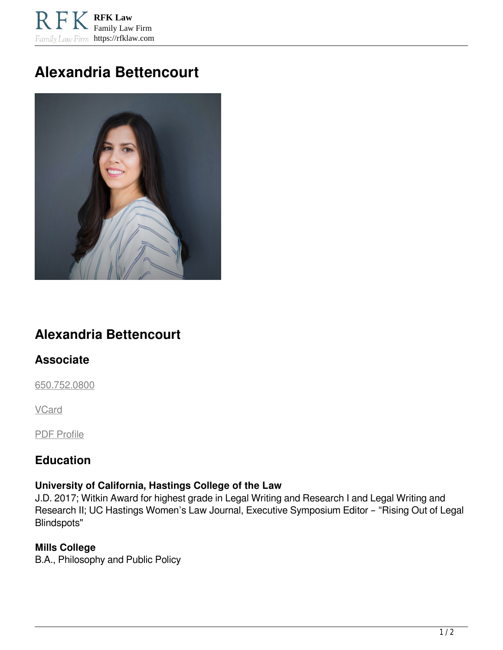**RFK Law** Family Law Firm Family Law Firm https://rfklaw.com

# **Alexandria Bettencourt**



## **Alexandria Bettencourt**

## **Associate**

[650.752.0800](tel:6507520800)

**VCard** 

PDF Profile

## **Education**

#### **University of California, Hastings College of the Law**

J.D. 2017; Witkin Award for highest grade in Legal Writing and Research I and Legal Writing and Research II; UC Hastings Women's Law Journal, Executive Symposium Editor – "Rising Out of Legal Blindspots"

#### **Mills College**

B.A., Philosophy and Public Policy